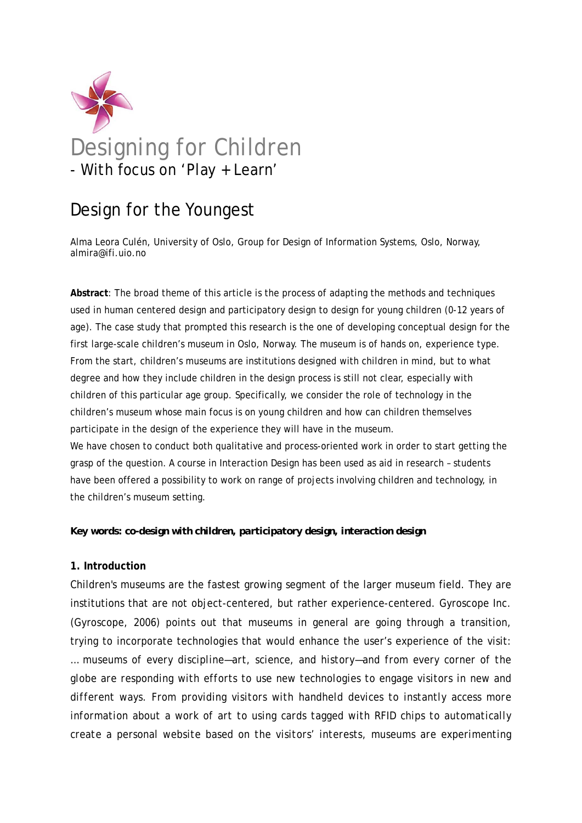

# Design for the Youngest

Alma Leora Culén, University of Oslo, Group for Design of Information Systems, Oslo, Norway, almira@ifi.uio.no

**Abstract**: The broad theme of this article is the process of adapting the methods and techniques used in human centered design and participatory design to design for young children (0-12 years of age). The case study that prompted this research is the one of developing conceptual design for the first large-scale children's museum in Oslo, Norway. The museum is of hands on, experience type. From the start, children's museums are institutions designed with children in mind, but to what degree and how they include children in the design process is still not clear, especially with children of this particular age group. Specifically, we consider the role of technology in the children's museum whose main focus is on young children and how can children themselves participate in the design of the experience they will have in the museum. We have chosen to conduct both qualitative and process-oriented work in order to start getting the grasp of the question. A course in Interaction Design has been used as aid in research – students

have been offered a possibility to work on range of projects involving children and technology, in the children's museum setting.

# *Key words: co-design with children, participatory design, interaction design*

# **1. Introduction**

Children's museums are the fastest growing segment of the larger museum field. They are institutions that are not object-centered, but rather experience-centered. Gyroscope Inc. (Gyroscope, 2006) points out that museums in general are going through a transition, trying to incorporate technologies that would enhance the user's experience of the visit: *… museums of every discipline—art, science, and history—and from every corner of the globe are responding with efforts to use new technologies to engage visitors in new and different ways. From providing visitors with handheld devices to instantly access more information about a work of art to using cards tagged with RFID chips to automatically create a personal website based on the visitors' interests, museums are experimenting*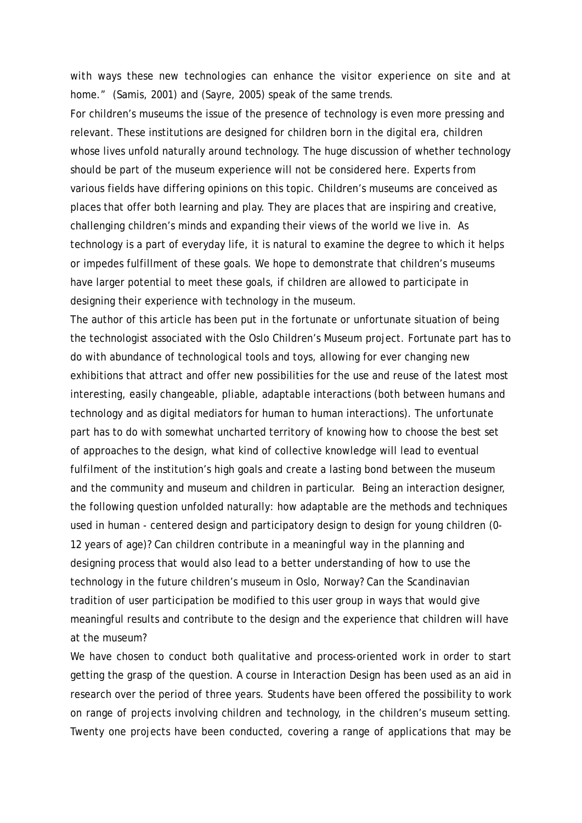*with ways these new technologies can enhance the visitor experience on site and at home."* (Samis, 2001) and (Sayre, 2005) speak of the same trends.

For children's museums the issue of the presence of technology is even more pressing and relevant. These institutions are designed for children born in the digital era, children whose lives unfold naturally around technology. The huge discussion of whether technology should be part of the museum experience will not be considered here. Experts from various fields have differing opinions on this topic. Children's museums are conceived as places that offer both learning and play. They are places that are inspiring and creative, challenging children's minds and expanding their views of the world we live in. As technology is a part of everyday life, it is natural to examine the degree to which it helps or impedes fulfillment of these goals. We hope to demonstrate that children's museums have larger potential to meet these goals, if children are allowed to participate in designing their experience with technology in the museum.

The author of this article has been put in the fortunate or unfortunate situation of being the technologist associated with the Oslo Children's Museum project. Fortunate part has to do with abundance of technological tools and toys, allowing for ever changing new exhibitions that attract and offer new possibilities for the use and reuse of the latest most interesting, easily changeable, pliable, adaptable interactions (both between humans and technology and as digital mediators for human to human interactions). The unfortunate part has to do with somewhat uncharted territory of knowing how to choose the best set of approaches to the design, what kind of collective knowledge will lead to eventual fulfilment of the institution's high goals and create a lasting bond between the museum and the community and museum and children in particular. Being an interaction designer, the following question unfolded naturally: how adaptable are the methods and techniques used in human - centered design and participatory design to design for young children (0- 12 years of age)? Can children contribute in a meaningful way in the planning and designing process that would also lead to a better understanding of how to use the technology in the future children's museum in Oslo, Norway? Can the Scandinavian tradition of user participation be modified to this user group in ways that would give meaningful results and contribute to the design and the experience that children will have at the museum?

We have chosen to conduct both qualitative and process-oriented work in order to start getting the grasp of the question. A course in Interaction Design has been used as an aid in research over the period of three years. Students have been offered the possibility to work on range of projects involving children and technology, in the children's museum setting. Twenty one projects have been conducted, covering a range of applications that may be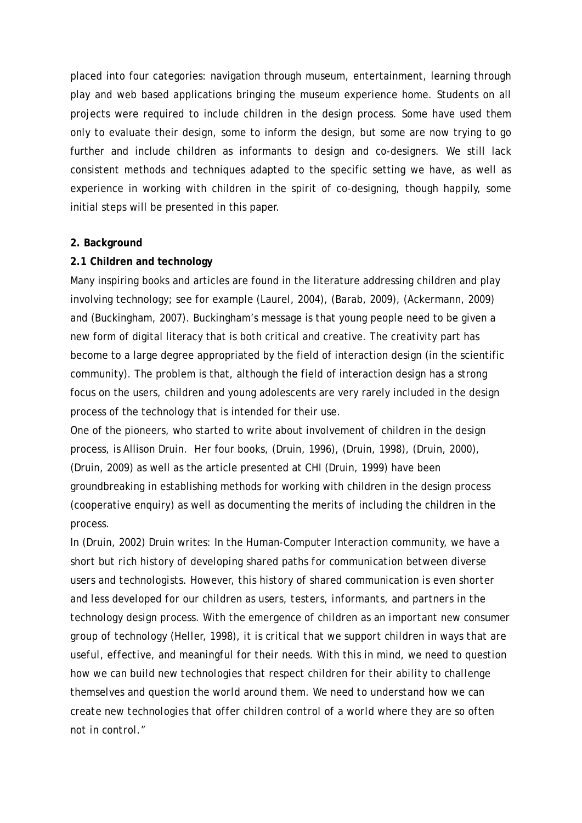placed into four categories: navigation through museum, entertainment, learning through play and web based applications bringing the museum experience home. Students on all projects were required to include children in the design process. Some have used them only to evaluate their design, some to inform the design, but some are now trying to go further and include children as informants to design and co-designers. We still lack consistent methods and techniques adapted to the specific setting we have, as well as experience in working with children in the spirit of co-designing, though happily, some initial steps will be presented in this paper.

# **2. Background**

# **2.1 Children and technology**

Many inspiring books and articles are found in the literature addressing children and play involving technology; see for example (Laurel, 2004), (Barab, 2009), (Ackermann, 2009) and (Buckingham, 2007). Buckingham's message is that young people need to be given a new form of digital literacy that is both critical and creative. The creativity part has become to a large degree appropriated by the field of interaction design (in the scientific community). The problem is that, although the field of interaction design has a strong focus on the users, children and young adolescents are very rarely included in the design process of the technology that is intended for their use.

One of the pioneers, who started to write about involvement of children in the design process, is Allison Druin. Her four books, (Druin, 1996), (Druin, 1998), (Druin, 2000), (Druin, 2009) as well as the article presented at CHI (Druin, 1999) have been groundbreaking in establishing methods for working with children in the design process (cooperative enquiry) as well as documenting the merits of including the children in the process.

In (Druin, 2002) Druin writes: *In the Human-Computer Interaction community, we have a short but rich history of developing shared paths for communication between diverse users and technologists. However, this history of shared communication is even shorter and less developed for our children as users, testers, informants, and partners in the technology design process. With the emergence of children as an important new consumer group of technology (Heller, 1998), it is critical that we support children in ways that are useful, effective, and meaningful for their needs. With this in mind, we need to question how we can build new technologies that respect children for their ability to challenge themselves and question the world around them. We need to understand how we can create new technologies that offer children control of a world where they are so often not in control."*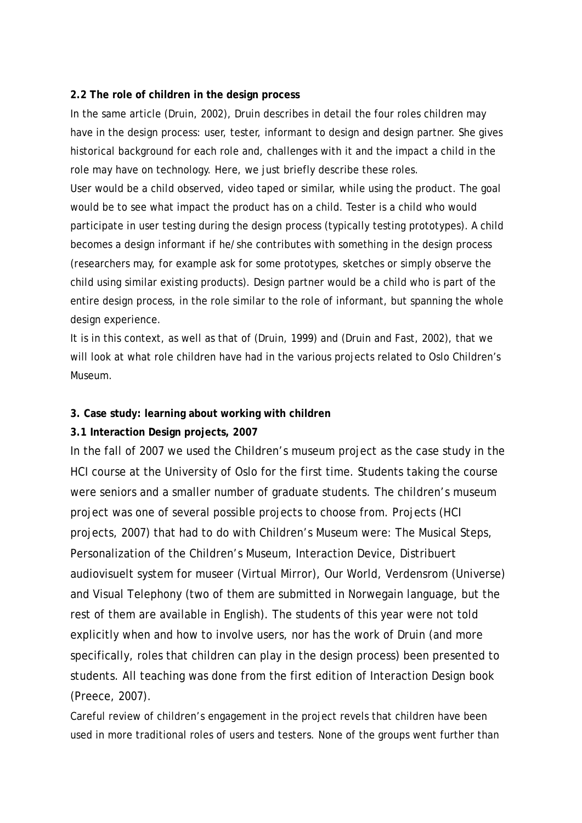#### **2.2 The role of children in the design process**

In the same article (Druin, 2002), Druin describes in detail the four roles children may have in the design process: user, tester, informant to design and design partner. She gives historical background for each role and, challenges with it and the impact a child in the role may have on technology. Here, we just briefly describe these roles.

User would be a child observed, video taped or similar, while using the product. The goal would be to see what impact the product has on a child. Tester is a child who would participate in user testing during the design process (typically testing prototypes). A child becomes a design informant if he/she contributes with something in the design process (researchers may, for example ask for some prototypes, sketches or simply observe the child using similar existing products). Design partner would be a child who is part of the entire design process, in the role similar to the role of informant, but spanning the whole design experience.

It is in this context, as well as that of (Druin, 1999) and (Druin and Fast, 2002), that we will look at what role children have had in the various projects related to Oslo Children's Museum.

# **3. Case study: learning about working with children**

# **3.1 Interaction Design projects, 2007**

In the fall of 2007 we used the Children's museum project as the case study in the HCI course at the University of Oslo for the first time. Students taking the course were seniors and a smaller number of graduate students. The children's museum project was one of several possible projects to choose from. Projects (HCI projects, 2007) that had to do with Children's Museum were: The Musical Steps, Personalization of the Children's Museum, Interaction Device, Distribuert audiovisuelt system for museer (Virtual Mirror), Our World, Verdensrom (Universe) and Visual Telephony (two of them are submitted in Norwegain language, but the rest of them are available in English). The students of this year were not told explicitly when and how to involve users, nor has the work of Druin (and more specifically, roles that children can play in the design process) been presented to students. All teaching was done from the first edition of Interaction Design book (Preece, 2007).

Careful review of children's engagement in the project revels that children have been used in more traditional roles of users and testers. None of the groups went further than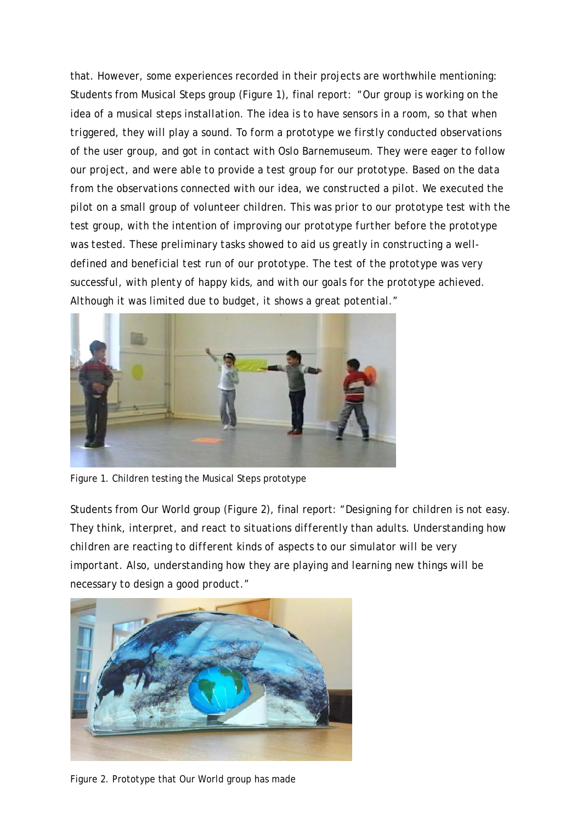that. However, some experiences recorded in their projects are worthwhile mentioning: Students from Musical Steps group (Figure 1), final report: *"Our group is working on the idea of a musical steps installation. The idea is to have sensors in a room, so that when triggered, they will play a sound. To form a prototype we firstly conducted observations of the user group, and got in contact with Oslo Barnemuseum. They were eager to follow our project, and were able to provide a test group for our prototype. Based on the data from the observations connected with our idea, we constructed a pilot. We executed the pilot on a small group of volunteer children. This was prior to our prototype test with the test group, with the intention of improving our prototype further before the prototype was tested. These preliminary tasks showed to aid us greatly in constructing a welldefined and beneficial test run of our prototype. The test of the prototype was very successful, with plenty of happy kids, and with our goals for the prototype achieved. Although it was limited due to budget, it shows a great potential."* 



Figure 1. Children testing the Musical Steps prototype

Students from Our World group (Figure 2), final report: *"Designing for children is not easy. They think, interpret, and react to situations differently than adults. Understanding how children are reacting to different kinds of aspects to our simulator will be very important. Also, understanding how they are playing and learning new things will be necessary to design a good product."* 



Figure 2. Prototype that Our World group has made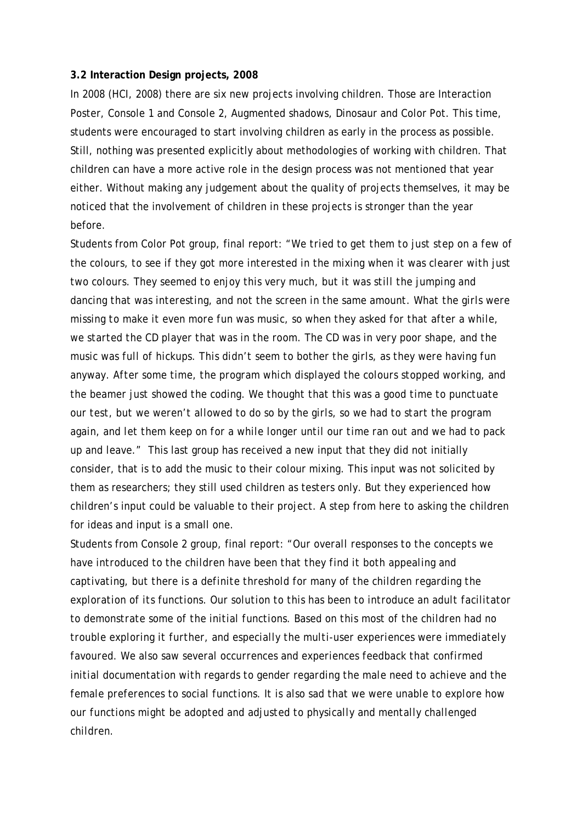#### **3.2 Interaction Design projects, 2008**

In 2008 (HCI, 2008) there are six new projects involving children. Those are Interaction Poster, Console 1 and Console 2, Augmented shadows, Dinosaur and Color Pot. This time, students were encouraged to start involving children as early in the process as possible. Still, nothing was presented explicitly about methodologies of working with children. That children can have a more active role in the design process was not mentioned that year either. Without making any judgement about the quality of projects themselves, it may be noticed that the involvement of children in these projects is stronger than the year before.

Students from Color Pot group, final report: *"We tried to get them to just step on a few of the colours, to see if they got more interested in the mixing when it was clearer with just two colours. They seemed to enjoy this very much, but it was still the jumping and dancing that was interesting, and not the screen in the same amount. What the girls were missing to make it even more fun was music, so when they asked for that after a while, we started the CD player that was in the room. The CD was in very poor shape, and the music was full of hickups. This didn't seem to bother the girls, as they were having fun anyway. After some time, the program which displayed the colours stopped working, and the beamer just showed the coding. We thought that this was a good time to punctuate our test, but we weren't allowed to do so by the girls, so we had to start the program again, and let them keep on for a while longer until our time ran out and we had to pack up and leave."* This last group has received a new input that they did not initially consider, that is to add the music to their colour mixing. This input was not solicited by them as researchers; they still used children as testers only. But they experienced how children's input could be valuable to their project. A step from here to asking the children for ideas and input is a small one.

Students from Console 2 group, final report: *"Our overall responses to the concepts we have introduced to the children have been that they find it both appealing and captivating, but there is a definite threshold for many of the children regarding the exploration of its functions. Our solution to this has been to introduce an adult facilitator to demonstrate some of the initial functions. Based on this most of the children had no trouble exploring it further, and especially the multi-user experiences were immediately favoured. We also saw several occurrences and experiences feedback that confirmed initial documentation with regards to gender regarding the male need to achieve and the female preferences to social functions. It is also sad that we were unable to explore how our functions might be adopted and adjusted to physically and mentally challenged children.*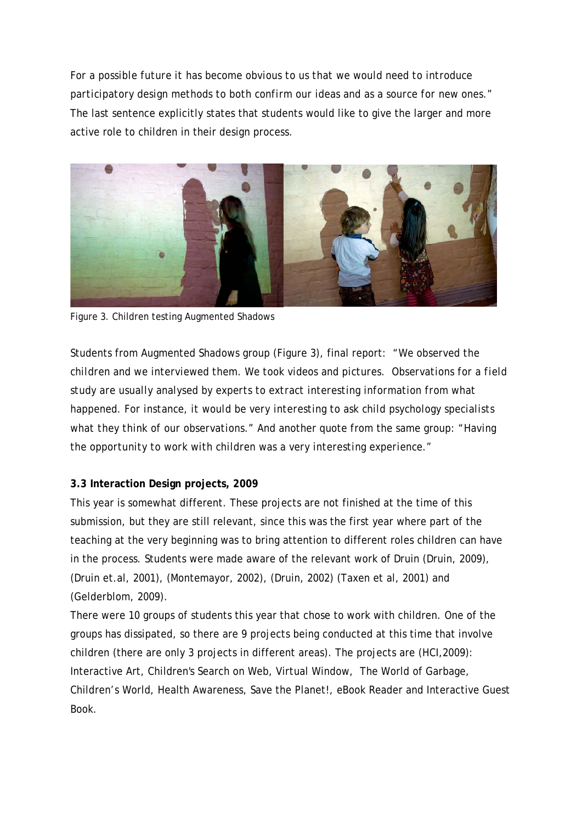*For a possible future it has become obvious to us that we would need to introduce participatory design methods to both confirm our ideas and as a source for new ones."*  The last sentence explicitly states that students would like to give the larger and more active role to children in their design process.



Figure 3. Children testing Augmented Shadows

Students from Augmented Shadows group (Figure 3), final report: *"We observed the children and we interviewed them. We took videos and pictures. Observations for a field study are usually analysed by experts to extract interesting information from what happened. For instance, it would be very interesting to ask child psychology specialists what they think of our observations."* And another quote from the same group: *"Having the opportunity to work with children was a very interesting experience."*

# **3.3 Interaction Design projects, 2009**

This year is somewhat different. These projects are not finished at the time of this submission, but they are still relevant, since this was the first year where part of the teaching at the very beginning was to bring attention to different roles children can have in the process. Students were made aware of the relevant work of Druin (Druin, 2009), (Druin et.al, 2001), (Montemayor, 2002), (Druin, 2002) (Taxen et al, 2001) and (Gelderblom, 2009).

There were 10 groups of students this year that chose to work with children. One of the groups has dissipated, so there are 9 projects being conducted at this time that involve children (there are only 3 projects in different areas). The projects are (HCI,2009): Interactive Art, Children's Search on Web, Virtual Window, The World of Garbage, Children's World, Health Awareness, Save the Planet!, eBook Reader and Interactive Guest Book.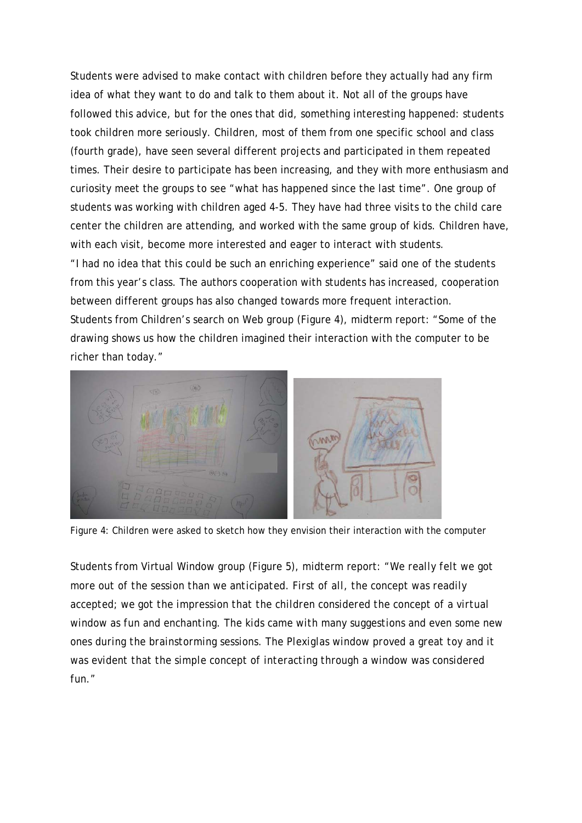Students were advised to make contact with children before they actually had any firm idea of what they want to do and talk to them about it. Not all of the groups have followed this advice, but for the ones that did, something interesting happened: students took children more seriously. Children, most of them from one specific school and class (fourth grade), have seen several different projects and participated in them repeated times. Their desire to participate has been increasing, and they with more enthusiasm and curiosity meet the groups to see "what has happened since the last time". One group of students was working with children aged 4-5. They have had three visits to the child care center the children are attending, and worked with the same group of kids. Children have, with each visit, become more interested and eager to interact with students. "I had no idea that this could be such an enriching experience" said one of the students from this year's class. The authors cooperation with students has increased, cooperation between different groups has also changed towards more frequent interaction. Students from Children's search on Web group (Figure 4), midterm report: "Some of the

drawing shows us how the children imagined their interaction with the computer to be richer than today."



Figure 4: Children were asked to sketch how they envision their interaction with the computer

Students from Virtual Window group (Figure 5), midterm report: *"We really felt we got more out of the session than we anticipated. First of all, the concept was readily accepted; we got the impression that the children considered the concept of a virtual window as fun and enchanting. The kids came with many suggestions and even some new ones during the brainstorming sessions. The Plexiglas window proved a great toy and it was evident that the simple concept of interacting through a window was considered fun."*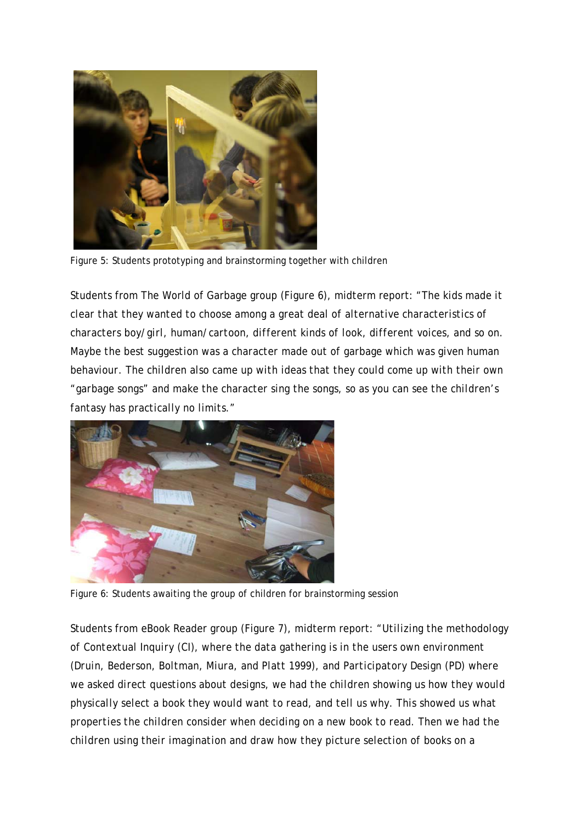

Figure 5: Students prototyping and brainstorming together with children

Students from The World of Garbage group (Figure 6), midterm report: *"The kids made it clear that they wanted to choose among a great deal of alternative characteristics of characters boy/girl, human/cartoon, different kinds of look, different voices, and so on. Maybe the best suggestion was a character made out of garbage which was given human behaviour. The children also came up with ideas that they could come up with their own "garbage songs" and make the character sing the songs, so as you can see the children's fantasy has practically no limits."*



Figure 6: Students awaiting the group of children for brainstorming session

Students from eBook Reader group (Figure 7), midterm report: *"Utilizing the methodology of Contextual Inquiry (CI), where the data gathering is in the users own environment (Druin, Bederson, Boltman, Miura, and Platt 1999), and Participatory Design (PD) where we asked direct questions about designs, we had the children showing us how they would physically select a book they would want to read, and tell us why. This showed us what properties the children consider when deciding on a new book to read. Then we had the children using their imagination and draw how they picture selection of books on a*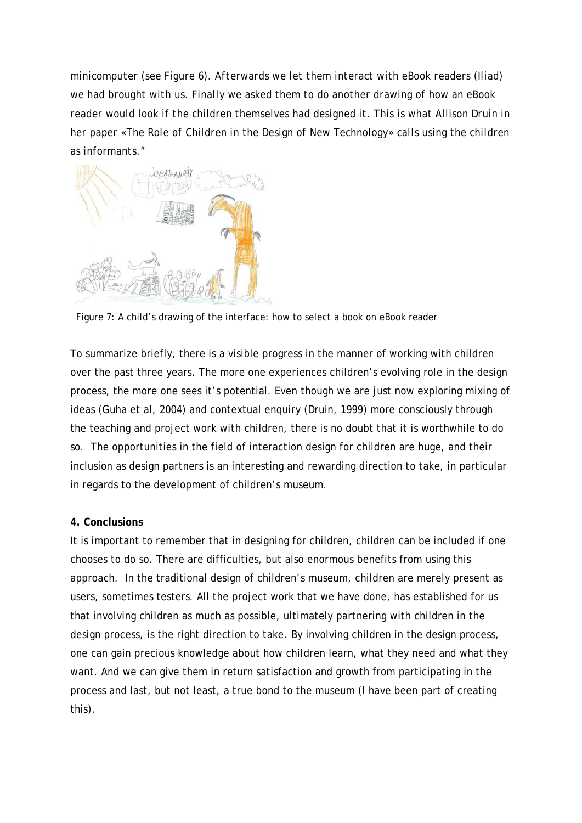*minicomputer (see Figure 6). Afterwards we let them interact with eBook readers (Iliad) we had brought with us. Finally we asked them to do another drawing of how an eBook reader would look if the children themselves had designed it. This is what Allison Druin in her paper «The Role of Children in the Design of New Technology» calls using the children as informants."* 



Figure 7: A child's drawing of the interface: how to select a book on eBook reader

To summarize briefly, there is a visible progress in the manner of working with children over the past three years. The more one experiences children's evolving role in the design process, the more one sees it's potential. Even though we are just now exploring mixing of ideas (Guha et al, 2004) and contextual enquiry (Druin, 1999) more consciously through the teaching and project work with children, there is no doubt that it is worthwhile to do so. The opportunities in the field of interaction design for children are huge, and their inclusion as design partners is an interesting and rewarding direction to take, in particular in regards to the development of children's museum.

# **4. Conclusions**

It is important to remember that in designing for children, children can be included if one chooses to do so. There are difficulties, but also enormous benefits from using this approach. In the traditional design of children's museum, children are merely present as users, sometimes testers. All the project work that we have done, has established for us that involving children as much as possible, ultimately partnering with children in the design process, is the right direction to take. By involving children in the design process, one can gain precious knowledge about how children learn, what they need and what they want. And we can give them in return satisfaction and growth from participating in the process and last, but not least, a true bond to the museum (I have been part of creating this).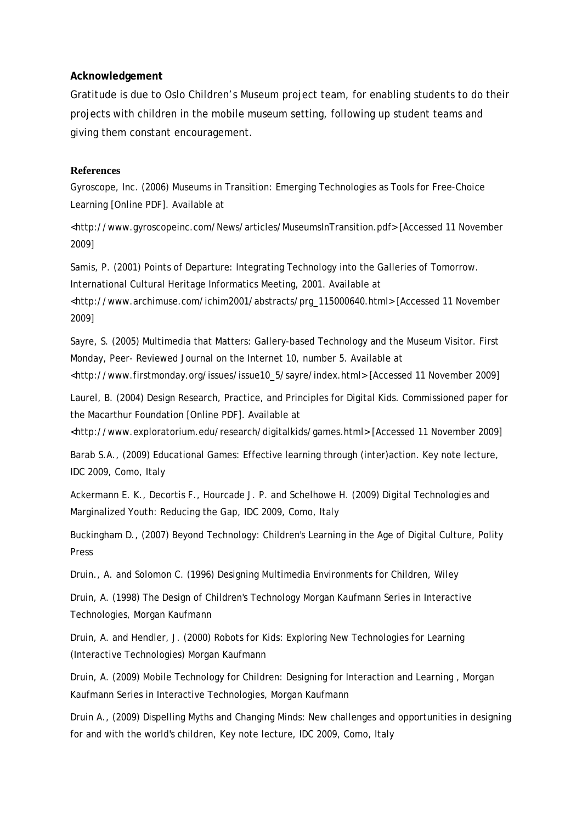#### **Acknowledgement**

Gratitude is due to Oslo Children's Museum project team, for enabling students to do their projects with children in the mobile museum setting, following up student teams and giving them constant encouragement.

#### **References**

Gyroscope, Inc. (2006) Museums in Transition: Emerging Technologies as Tools for Free-Choice Learning [Online PDF]. Available at

<http://www.gyroscopeinc.com/News/articles/MuseumsInTransition.pdf> [Accessed 11 November 2009]

Samis, P. (2001) Points of Departure: Integrating Technology into the Galleries of Tomorrow. International Cultural Heritage Informatics Meeting, 2001. Available at

<http://www.archimuse.com/ichim2001/abstracts/prg\_115000640.html> [Accessed 11 November 2009]

Sayre, S. (2005) Multimedia that Matters: Gallery-based Technology and the Museum Visitor. First Monday, Peer- Reviewed Journal on the Internet 10, number 5. Available at

<http://www.firstmonday.org/issues/issue10\_5/sayre/index.html> [Accessed 11 November 2009]

Laurel, B. (2004) Design Research, Practice, and Principles for Digital Kids. Commissioned paper for the Macarthur Foundation [Online PDF]. Available at

<http://www.exploratorium.edu/research/digitalkids/games.html> [Accessed 11 November 2009]

Barab S.A., (2009) Educational Games: Effective learning through (inter)action. Key note lecture, IDC 2009, Como, Italy

Ackermann E. K., Decortis F., Hourcade J. P. and Schelhowe H. (2009) Digital Technologies and Marginalized Youth: Reducing the Gap, IDC 2009, Como, Italy

Buckingham D., (2007) Beyond Technology: Children's Learning in the Age of Digital Culture, Polity Press

Druin., A. and Solomon C. (1996) Designing Multimedia Environments for Children, Wiley

Druin, A. (1998) The Design of Children's Technology Morgan Kaufmann Series in Interactive Technologies, Morgan Kaufmann

Druin, A. and Hendler, J. (2000) Robots for Kids: Exploring New Technologies for Learning (Interactive Technologies) Morgan Kaufmann

Druin, A. (2009) Mobile Technology for Children: Designing for Interaction and Learning , Morgan Kaufmann Series in Interactive Technologies, Morgan Kaufmann

Druin A., (2009) Dispelling Myths and Changing Minds: New challenges and opportunities in designing for and with the world's children, Key note lecture, IDC 2009, Como, Italy